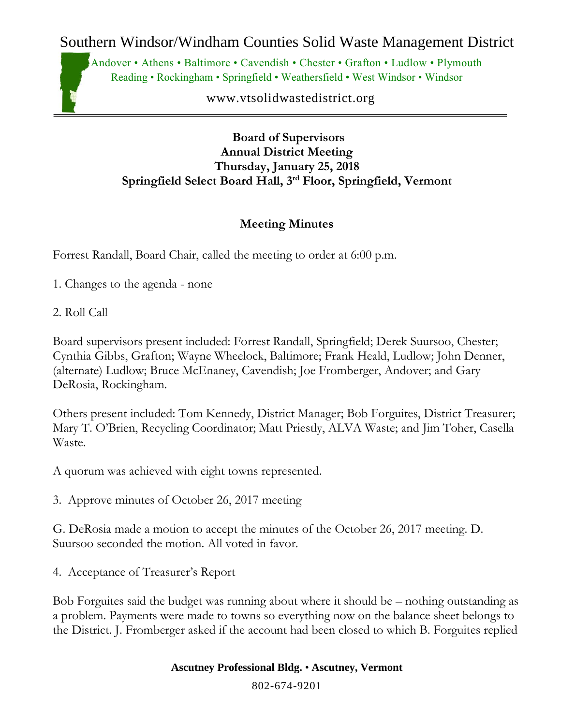Southern Windsor/Windham Counties Solid Waste Management District

Andover • Athens • Baltimore • Cavendish • Chester • Grafton • Ludlow • Plymouth Reading • Rockingham • Springfield • Weathersfield • West Windsor • Windsor

www.vtsolidwastedistrict.org

**Board of Supervisors Annual District Meeting Thursday, January 25, 2018 Springfield Select Board Hall, 3rd Floor, Springfield, Vermont**

## **Meeting Minutes**

Forrest Randall, Board Chair, called the meeting to order at 6:00 p.m.

- 1. Changes to the agenda none
- 2. Roll Call

Board supervisors present included: Forrest Randall, Springfield; Derek Suursoo, Chester; Cynthia Gibbs, Grafton; Wayne Wheelock, Baltimore; Frank Heald, Ludlow; John Denner, (alternate) Ludlow; Bruce McEnaney, Cavendish; Joe Fromberger, Andover; and Gary DeRosia, Rockingham.

Others present included: Tom Kennedy, District Manager; Bob Forguites, District Treasurer; Mary T. O'Brien, Recycling Coordinator; Matt Priestly, ALVA Waste; and Jim Toher, Casella Waste.

A quorum was achieved with eight towns represented.

3. Approve minutes of October 26, 2017 meeting

G. DeRosia made a motion to accept the minutes of the October 26, 2017 meeting. D. Suursoo seconded the motion. All voted in favor.

4. Acceptance of Treasurer's Report

Bob Forguites said the budget was running about where it should be – nothing outstanding as a problem. Payments were made to towns so everything now on the balance sheet belongs to the District. J. Fromberger asked if the account had been closed to which B. Forguites replied

**Ascutney Professional Bldg.** • **Ascutney, Vermont**

802-674-9201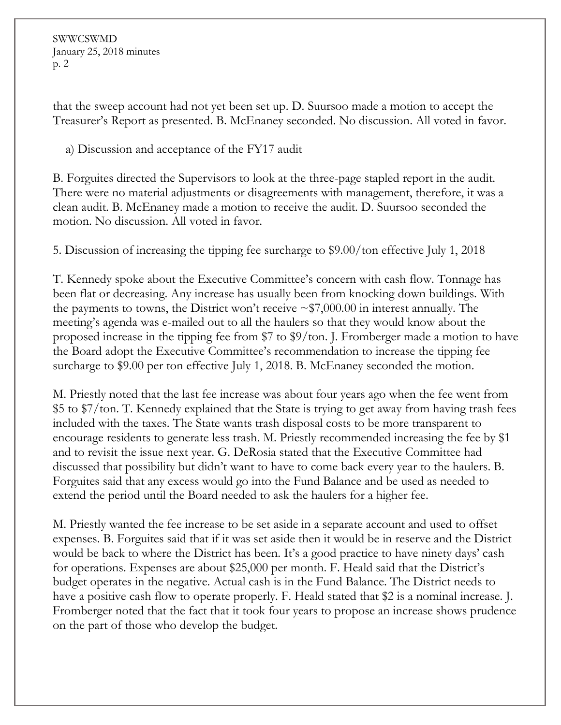SWWCSWMD January 25, 2018 minutes p. 2

that the sweep account had not yet been set up. D. Suursoo made a motion to accept the Treasurer's Report as presented. B. McEnaney seconded. No discussion. All voted in favor.

a) Discussion and acceptance of the FY17 audit

B. Forguites directed the Supervisors to look at the three-page stapled report in the audit. There were no material adjustments or disagreements with management, therefore, it was a clean audit. B. McEnaney made a motion to receive the audit. D. Suursoo seconded the motion. No discussion. All voted in favor.

5. Discussion of increasing the tipping fee surcharge to \$9.00/ton effective July 1, 2018

T. Kennedy spoke about the Executive Committee's concern with cash flow. Tonnage has been flat or decreasing. Any increase has usually been from knocking down buildings. With the payments to towns, the District won't receive  $\sim$ \$7,000.00 in interest annually. The meeting's agenda was e-mailed out to all the haulers so that they would know about the proposed increase in the tipping fee from \$7 to \$9/ton. J. Fromberger made a motion to have the Board adopt the Executive Committee's recommendation to increase the tipping fee surcharge to \$9.00 per ton effective July 1, 2018. B. McEnaney seconded the motion.

M. Priestly noted that the last fee increase was about four years ago when the fee went from \$5 to \$7/ton. T. Kennedy explained that the State is trying to get away from having trash fees included with the taxes. The State wants trash disposal costs to be more transparent to encourage residents to generate less trash. M. Priestly recommended increasing the fee by \$1 and to revisit the issue next year. G. DeRosia stated that the Executive Committee had discussed that possibility but didn't want to have to come back every year to the haulers. B. Forguites said that any excess would go into the Fund Balance and be used as needed to extend the period until the Board needed to ask the haulers for a higher fee.

M. Priestly wanted the fee increase to be set aside in a separate account and used to offset expenses. B. Forguites said that if it was set aside then it would be in reserve and the District would be back to where the District has been. It's a good practice to have ninety days' cash for operations. Expenses are about \$25,000 per month. F. Heald said that the District's budget operates in the negative. Actual cash is in the Fund Balance. The District needs to have a positive cash flow to operate properly. F. Heald stated that \$2 is a nominal increase. J. Fromberger noted that the fact that it took four years to propose an increase shows prudence on the part of those who develop the budget.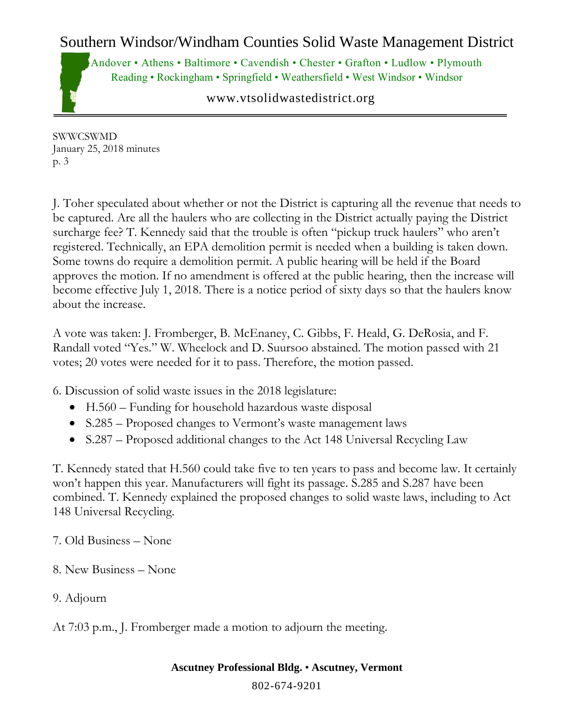## Southern Windsor/Windham Counties Solid Waste Management District

Andover • Athens • Baltimore • Cavendish • Chester • Grafton • Ludlow • Plymouth Reading • Rockingham • Springfield • Weathersfield • West Windsor • Windsor

www.vtsolidwastedistrict.org

SWWCSWMD January 25, 2018 minutes p. 3

J. Toher speculated about whether or not the District is capturing all the revenue that needs to be captured. Are all the haulers who are collecting in the District actually paying the District surcharge fee? T. Kennedy said that the trouble is often "pickup truck haulers" who aren't registered. Technically, an EPA demolition permit is needed when a building is taken down. Some towns do require a demolition permit. A public hearing will be held if the Board approves the motion. If no amendment is offered at the public hearing, then the increase will become effective July 1, 2018. There is a notice period of sixty days so that the haulers know about the increase.

A vote was taken: J. Fromberger, B. McEnaney, C. Gibbs, F. Heald, G. DeRosia, and F. Randall voted "Yes." W. Wheelock and D. Suursoo abstained. The motion passed with 21 votes; 20 votes were needed for it to pass. Therefore, the motion passed.

6. Discussion of solid waste issues in the 2018 legislature:

- H.560 Funding for household hazardous waste disposal
- S.285 Proposed changes to Vermont's waste management laws
- S.287 Proposed additional changes to the Act 148 Universal Recycling Law

T. Kennedy stated that H.560 could take five to ten years to pass and become law. It certainly won't happen this year. Manufacturers will fight its passage. S.285 and S.287 have been combined. T. Kennedy explained the proposed changes to solid waste laws, including to Act 148 Universal Recycling.

- 7. Old Business None
- 8. New Business None
- 9. Adjourn

At 7:03 p.m., J. Fromberger made a motion to adjourn the meeting.

**Ascutney Professional Bldg.** • **Ascutney, Vermont**

802-674-9201